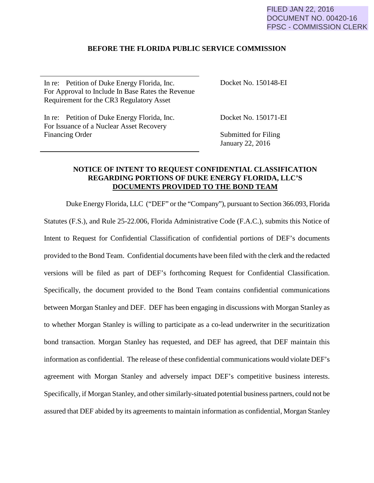## FILED JAN 22, 2016 DOCUMENT NO. 00420-16 FPSC - COMMISSION CLERK

## **BEFORE THE FLORIDA PUBLIC SERVICE COMMISSION**

In re: Petition of Duke Energy Florida, Inc. For Approval to Include In Base Rates the Revenue Requirement for the CR3 Regulatory Asset

Docket No. 150148-EI

In re: Petition of Duke Energy Florida, Inc. For Issuance of a Nuclear Asset Recovery Financing Order

Docket No. 150171-EI

Submitted for Filing January 22, 2016

## **NOTICE OF INTENT TO REQUEST CONFIDENTIAL CLASSIFICATION REGARDING PORTIONS OF DUKE ENERGY FLORIDA, LLC'S DOCUMENTS PROVIDED TO THE BOND TEAM**

Duke Energy Florida, LLC ("DEF" or the "Company"), pursuant to Section 366.093, Florida Statutes (F.S.), and Rule 25-22.006, Florida Administrative Code (F.A.C.), submits this Notice of Intent to Request for Confidential Classification of confidential portions of DEF's documents provided to the Bond Team. Confidential documents have been filed with the clerk and the redacted versions will be filed as part of DEF's forthcoming Request for Confidential Classification. Specifically, the document provided to the Bond Team contains confidential communications between Morgan Stanley and DEF. DEF has been engaging in discussions with Morgan Stanley as to whether Morgan Stanley is willing to participate as a co-lead underwriter in the securitization bond transaction. Morgan Stanley has requested, and DEF has agreed, that DEF maintain this information as confidential. The release of these confidential communications would violate DEF's agreement with Morgan Stanley and adversely impact DEF's competitive business interests. Specifically, if Morgan Stanley, and other similarly-situated potential business partners, could not be assured that DEF abided by its agreements to maintain information as confidential, Morgan Stanley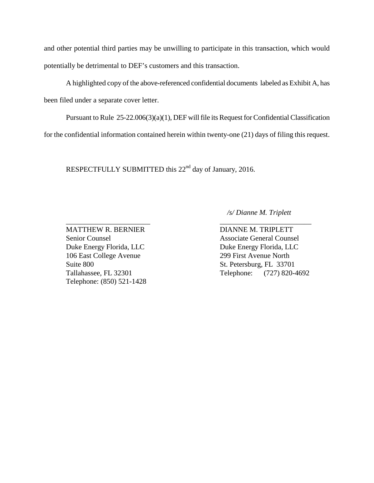and other potential third parties may be unwilling to participate in this transaction, which would potentially be detrimental to DEF's customers and this transaction.

A highlighted copy of the above-referenced confidential documents labeled as Exhibit A, has been filed under a separate cover letter.

 Pursuant to Rule 25-22.006(3)(a)(1), DEF will file its Request for Confidential Classification for the confidential information contained herein within twenty-one (21) days of filing this request.

\_\_\_\_\_\_\_\_\_\_\_\_\_\_\_\_\_\_\_\_\_\_\_ \_\_\_\_\_\_\_\_\_\_\_\_\_\_\_\_\_\_\_\_\_\_\_\_\_

RESPECTFULLY SUBMITTED this 22<sup>nd</sup> day of January, 2016.

 */s/ Dianne M. Triplett*

Duke Energy Florida, LLC<br>Duke Energy Florida, LLC 106 East College Avenue 299 First Avenue North Suite 800 St. Petersburg, FL 33701 Telephone: (850) 521-1428

MATTHEW R. BERNIER DIANNE M. TRIPLETT Senior Counsel Associate General Counsel Tallahassee, FL 32301 Telephone: (727) 820-4692